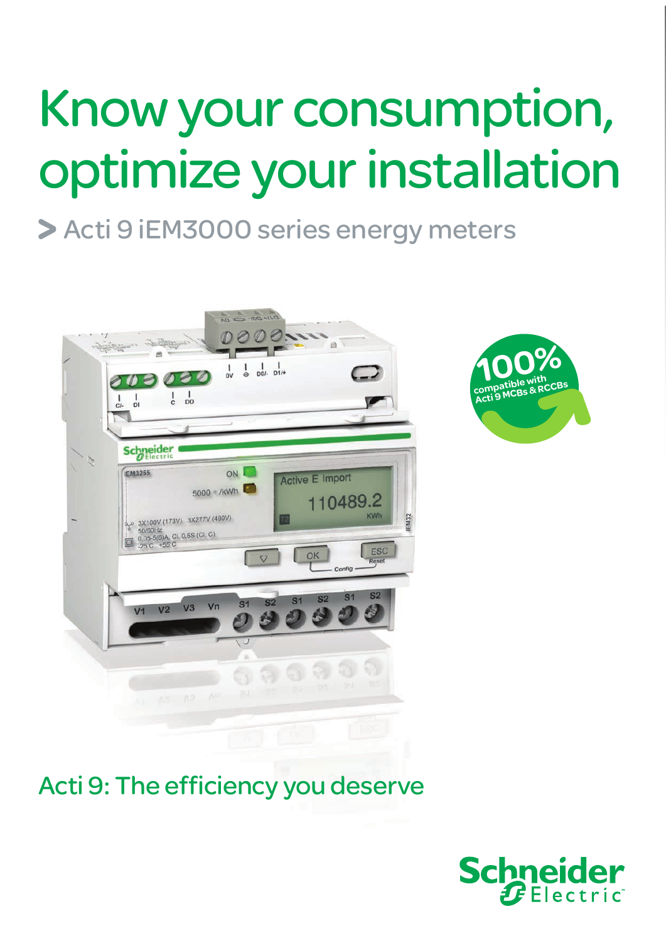# Know your consumption, optimize your installation

## > Acti 9 iEM3000 series energy meters





### Acti 9: The efficiency you deserve

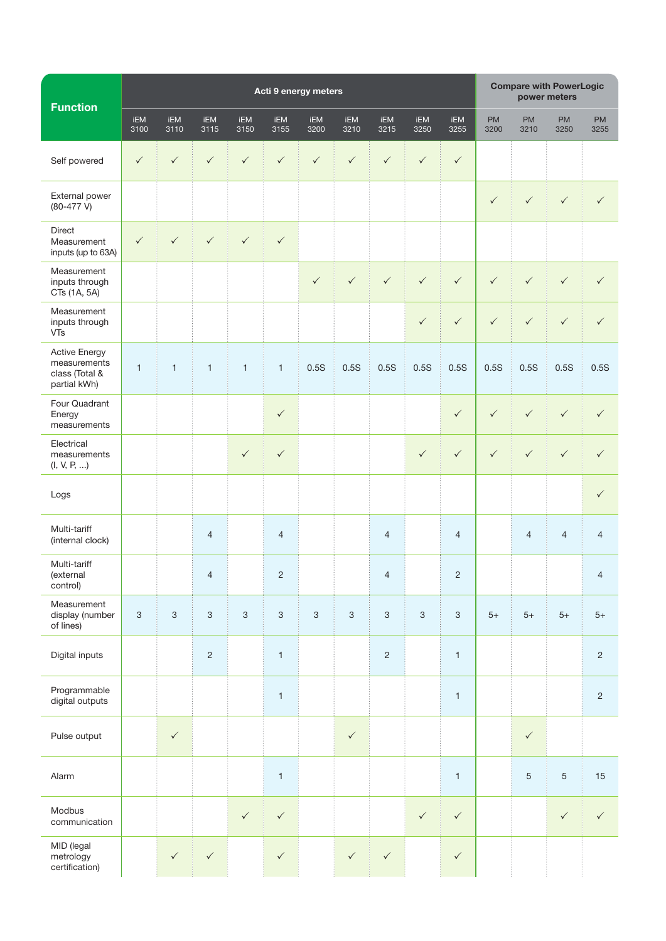| <b>Function</b>                                                        | Acti 9 energy meters      |                           |                |                           |                           |              |                           |                |              |                           | <b>Compare with PowerLogic</b><br>power meters |                |                |                   |
|------------------------------------------------------------------------|---------------------------|---------------------------|----------------|---------------------------|---------------------------|--------------|---------------------------|----------------|--------------|---------------------------|------------------------------------------------|----------------|----------------|-------------------|
|                                                                        | <b>iEM</b><br>3100        | iEM<br>3110               | iEM<br>3115    | iEM<br>3150               | iEM<br>3155               | iEM<br>3200  | iEM<br>3210               | iEM<br>3215    | iEM<br>3250  | iEM<br>3255               | <b>PM</b><br>3200                              | PM<br>3210     | PM<br>3250     | <b>PM</b><br>3255 |
| Self powered                                                           | $\checkmark$              | $\checkmark$              | $\checkmark$   | $\checkmark$              | $\checkmark$              | $\checkmark$ | $\checkmark$              | $\checkmark$   | $\checkmark$ | $\checkmark$              |                                                |                |                |                   |
| External power<br>$(80-477 V)$                                         |                           |                           |                |                           |                           |              |                           |                |              |                           | $\checkmark$                                   | $\checkmark$   | $\checkmark$   | $\checkmark$      |
| Direct<br>Measurement<br>inputs (up to 63A)                            | $\checkmark$              | $\checkmark$              | $\checkmark$   | $\checkmark$              | $\checkmark$              |              |                           |                |              |                           |                                                |                |                |                   |
| Measurement<br>inputs through<br>CTs (1A, 5A)                          |                           |                           |                |                           |                           | $\checkmark$ | $\checkmark$              | $\checkmark$   | $\checkmark$ | $\checkmark$              | $\checkmark$                                   | $\checkmark$   | $\checkmark$   | $\checkmark$      |
| Measurement<br>inputs through<br>VTs                                   |                           |                           |                |                           |                           |              |                           |                | $\checkmark$ | $\checkmark$              | $\checkmark$                                   | $\checkmark$   | $\checkmark$   | $\checkmark$      |
| <b>Active Energy</b><br>measurements<br>class (Total &<br>partial kWh) | $\mathbf{1}$              | $\mathbf{1}$              | $\mathbf{1}$   | $\mathbf{1}$              | $\mathbf{1}$              | 0.5S         | 0.5S                      | 0.5S           | 0.5S         | 0.5S                      | 0.5S                                           | 0.5S           | 0.5S           | 0.5S              |
| Four Quadrant<br>Energy<br>measurements                                |                           |                           |                |                           | $\checkmark$              |              |                           |                |              | $\checkmark$              | $\checkmark$                                   | $\checkmark$   | $\checkmark$   | $\checkmark$      |
| Electrical<br>measurements<br>(I, V, P, )                              |                           |                           |                | $\checkmark$              | $\checkmark$              |              |                           |                | $\checkmark$ | $\checkmark$              | $\checkmark$                                   | $\checkmark$   | $\checkmark$   | $\checkmark$      |
| Logs                                                                   |                           |                           |                |                           |                           |              |                           |                |              |                           |                                                |                |                | $\checkmark$      |
| Multi-tariff<br>(internal clock)                                       |                           |                           | $\overline{4}$ |                           | $\overline{4}$            |              |                           | $\overline{4}$ |              | $\overline{4}$            |                                                | $\overline{4}$ | $\overline{4}$ | $\overline{4}$    |
| Multi-tariff<br>(external<br>control)                                  |                           |                           | $\overline{4}$ |                           | $\overline{2}$            |              |                           | $\overline{4}$ |              | 2                         |                                                |                |                | 4                 |
| Measurement<br>display (number<br>of lines)                            | $\ensuremath{\mathsf{3}}$ | $\ensuremath{\mathsf{3}}$ | $\sqrt{3}$     | $\ensuremath{\mathsf{3}}$ | $\ensuremath{\mathsf{3}}$ | $\sqrt{3}$   | $\ensuremath{\mathsf{3}}$ | $\sqrt{3}$     | $\sqrt{3}$   | $\ensuremath{\mathsf{3}}$ | $5+$                                           | $5+$           | $5+$           | $5+$              |
| Digital inputs                                                         |                           |                           | $\sqrt{2}$     |                           | $\mathbf{1}$              |              |                           | $\sqrt{2}$     |              | $\mathbf{1}$              |                                                |                |                | $\overline{c}$    |
| Programmable<br>digital outputs                                        |                           |                           |                |                           | $\mathbf{1}$              |              |                           |                |              | $\mathbf{1}$              |                                                |                |                | $\overline{c}$    |
| Pulse output                                                           |                           | $\checkmark$              |                |                           |                           |              | $\checkmark$              |                |              |                           |                                                | $\checkmark$   |                |                   |
| Alarm                                                                  |                           |                           |                |                           | $\mathbf{1}$              |              |                           |                |              | $\mathbf{1}$              |                                                | $\,$ 5 $\,$    | $\sqrt{5}$     | 15                |
| Modbus<br>communication                                                |                           |                           |                | $\checkmark$              | $\checkmark$              |              |                           |                | $\checkmark$ | $\checkmark$              |                                                |                | $\checkmark$   | $\checkmark$      |
| MID (legal<br>metrology<br>certification)                              |                           | $\checkmark$              | $\checkmark$   |                           | $\checkmark$              |              | $\checkmark$              | $\checkmark$   |              | $\checkmark$              |                                                |                |                |                   |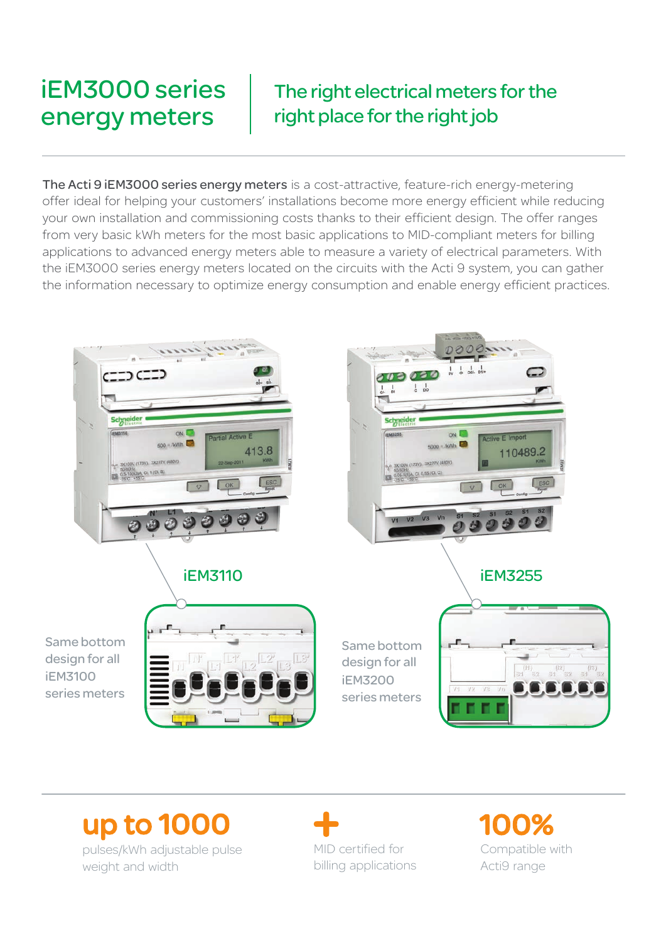### iEM3000 series energy meters

### The right electrical meters for the right place for the right job

The Acti 9 iEM3000 series energy meters is a cost-attractive, feature-rich energy-metering offer ideal for helping your customers' installations become more energy efficient while reducing your own installation and commissioning costs thanks to their efficient design. The offer ranges from very basic kWh meters for the most basic applications to MID-compliant meters for billing applications to advanced energy meters able to measure a variety of electrical parameters. With the iEM3000 series energy meters located on the circuits with the Acti 9 system, you can gather the information necessary to optimize energy consumption and enable energy efficient practices.



### up to 1000

pulses/kWh adjustable pulse weight and width

MID certified for billing applications

100% Compatible with Acti9 range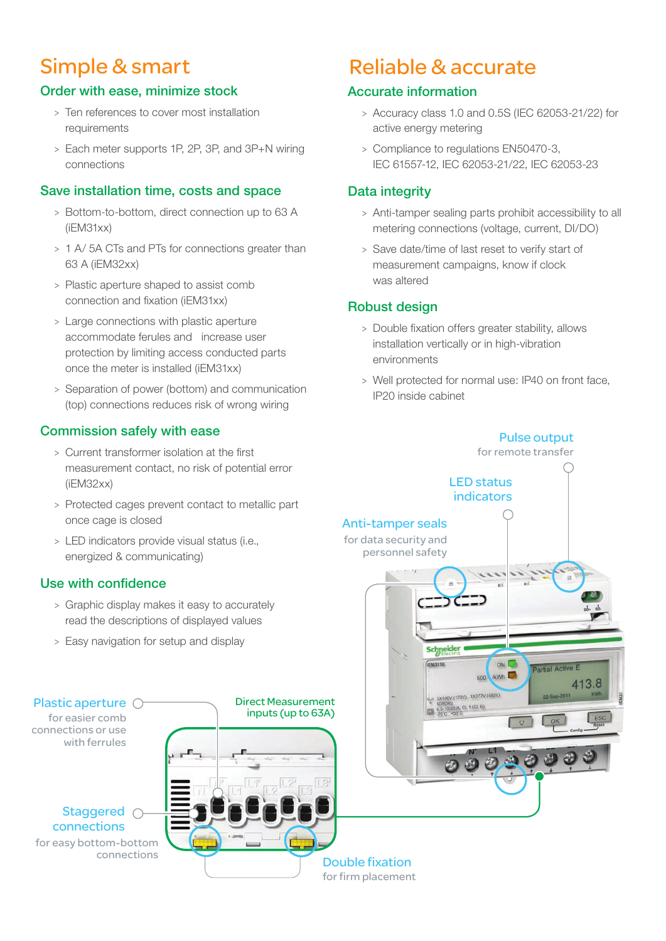#### Order with ease, minimize stock

- > Ten references to cover most installation requirements
- > Each meter supports 1P, 2P, 3P, and 3P+N wiring connections

#### Save installation time, costs and space

- > Bottom-to-bottom, direct connection up to 63 A (iEM31xx)
- > 1 A/ 5A CTs and PTs for connections greater than 63 A (iEM32xx)
- > Plastic aperture shaped to assist comb connection and fixation (iEM31xx)
- > Large connections with plastic aperture accommodate ferules and increase user protection by limiting access conducted parts once the meter is installed (iEM31xx)
- > Separation of power (bottom) and communication (top) connections reduces risk of wrong wiring

#### Commission safely with ease

- > Current transformer isolation at the first measurement contact, no risk of potential error (iEM32xx)
- > Protected cages prevent contact to metallic part once cage is closed
- > LED indicators provide visual status (i.e., energized & communicating)

#### Use with confidence

- > Graphic display makes it easy to accurately read the descriptions of displayed values
- > Easy navigation for setup and display



### Simple & smart Reliable & accurate

#### Accurate information

- > Accuracy class 1.0 and 0.5S (IEC 62053-21/22) for active energy metering
- > Compliance to regulations EN50470-3, IEC 61557-12, IEC 62053-21/22, IEC 62053-23

#### Data integrity

- > Anti-tamper sealing parts prohibit accessibility to all metering connections (voltage, current, DI/DO)
- > Save date/time of last reset to verify start of measurement campaigns, know if clock was altered

#### Robust design

- > Double fixation offers greater stability, allows installation vertically or in high-vibration environments
- > Well protected for normal use: IP40 on front face, IP20 inside cabinet

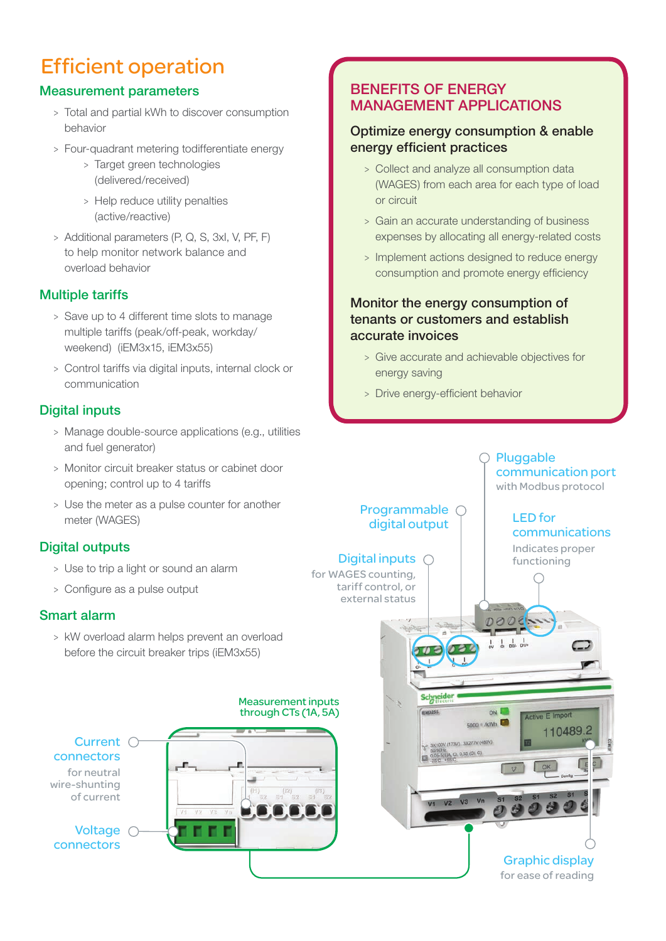### Efficient operation

#### Measurement parameters

- > Total and partial kWh to discover consumption behavior
- > Four-quadrant metering todifferentiate energy
	- > Target green technologies (delivered/received)
	- > Help reduce utility penalties (active/reactive)
- > Additional parameters (P, Q, S, 3xI, V, PF, F) to help monitor network balance and overload behavior

#### Multiple tariffs

- > Save up to 4 different time slots to manage multiple tariffs (peak/off-peak, workday/ weekend) (iEM3x15, iEM3x55)
- > Control tariffs via digital inputs, internal clock or communication

#### Digital inputs

- > Manage double-source applications (e.g., utilities and fuel generator)
- > Monitor circuit breaker status or cabinet door opening; control up to 4 tariffs
- > Use the meter as a pulse counter for another meter (WAGES)

#### Digital outputs

- > Use to trip a light or sound an alarm
- > Configure as a pulse output

#### Smart alarm

> kW overload alarm helps prevent an overload before the circuit breaker trips (iEM3x55)



### Benefits of energy management applications

#### Optimize energy consumption & enable energy efficient practices

- > Collect and analyze all consumption data (WAGES) from each area for each type of load or circuit
- > Gain an accurate understanding of business expenses by allocating all energy-related costs
- > Implement actions designed to reduce energy consumption and promote energy efficiency

#### Monitor the energy consumption of tenants or customers and establish accurate invoices

- > Give accurate and achievable objectives for energy saving
- > Drive energy-efficient behavior